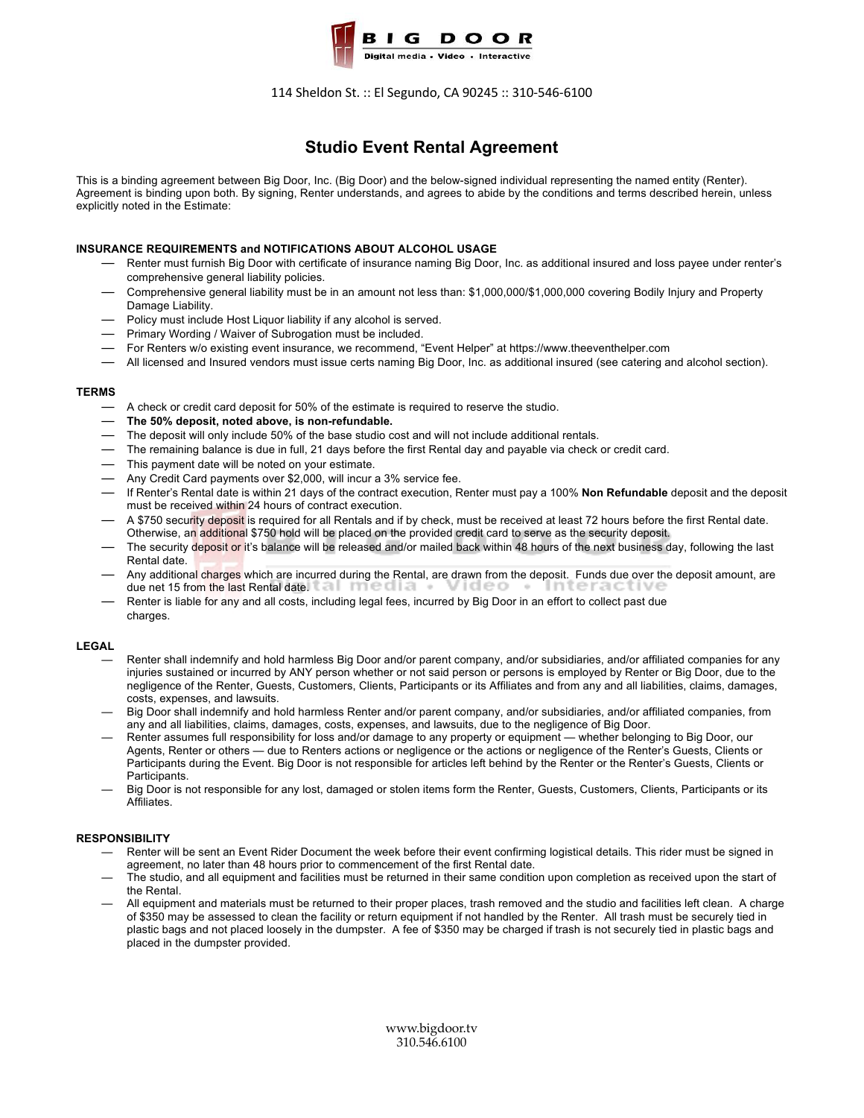

## 114 Sheldon St. :: El Segundo, CA 90245 :: 310-546-6100

# **Studio Event Rental Agreement**

This is a binding agreement between Big Door, Inc. (Big Door) and the below-signed individual representing the named entity (Renter). Agreement is binding upon both. By signing, Renter understands, and agrees to abide by the conditions and terms described herein, unless explicitly noted in the Estimate:

## **INSURANCE REQUIREMENTS and NOTIFICATIONS ABOUT ALCOHOL USAGE**

- Renter must furnish Big Door with certificate of insurance naming Big Door, Inc. as additional insured and loss payee under renter's comprehensive general liability policies.
- Comprehensive general liability must be in an amount not less than: \$1,000,000/\$1,000,000 covering Bodily Injury and Property Damage Liability.
- Policy must include Host Liquor liability if any alcohol is served.
- Primary Wording / Waiver of Subrogation must be included.
- For Renters w/o existing event insurance, we recommend, "Event Helper" at https://www.theeventhelper.com
- All licensed and Insured vendors must issue certs naming Big Door, Inc. as additional insured (see catering and alcohol section).

### **TERMS**

- A check or credit card deposit for 50% of the estimate is required to reserve the studio.
- **The 50% deposit, noted above, is non-refundable.**
- The deposit will only include 50% of the base studio cost and will not include additional rentals.
- The remaining balance is due in full, 21 days before the first Rental day and payable via check or credit card.
- This payment date will be noted on your estimate.
- Any Credit Card payments over \$2,000, will incur a 3% service fee.
- If Renter's Rental date is within 21 days of the contract execution, Renter must pay a 100% **Non Refundable** deposit and the deposit must be received within 24 hours of contract execution.
- A \$750 security deposit is required for all Rentals and if by check, must be received at least 72 hours before the first Rental date. Otherwise, an additional \$750 hold will be placed on the provided credit card to serve as the security deposit.
- The security deposit or it's balance will be released and/or mailed back within 48 hours of the next business day, following the last Rental date.
- Any additional charges which are incurred during the Rental, are drawn from the deposit. Funds due over the deposit amount, are due net 15 from the last Rental date.
- Renter is liable for any and all costs, including legal fees, incurred by Big Door in an effort to collect past due charges.

#### **LEGAL**

- Renter shall indemnify and hold harmless Big Door and/or parent company, and/or subsidiaries, and/or affiliated companies for any injuries sustained or incurred by ANY person whether or not said person or persons is employed by Renter or Big Door, due to the negligence of the Renter, Guests, Customers, Clients, Participants or its Affiliates and from any and all liabilities, claims, damages, costs, expenses, and lawsuits.
- Big Door shall indemnify and hold harmless Renter and/or parent company, and/or subsidiaries, and/or affiliated companies, from any and all liabilities, claims, damages, costs, expenses, and lawsuits, due to the negligence of Big Door.
- Renter assumes full responsibility for loss and/or damage to any property or equipment whether belonging to Big Door, our Agents, Renter or others — due to Renters actions or negligence or the actions or negligence of the Renter's Guests, Clients or Participants during the Event. Big Door is not responsible for articles left behind by the Renter or the Renter's Guests, Clients or Participants.
- Big Door is not responsible for any lost, damaged or stolen items form the Renter, Guests, Customers, Clients, Participants or its Affiliates.

## **RESPONSIBILITY**

- Renter will be sent an Event Rider Document the week before their event confirming logistical details. This rider must be signed in agreement, no later than 48 hours prior to commencement of the first Rental date.
- The studio, and all equipment and facilities must be returned in their same condition upon completion as received upon the start of the Rental.
- All equipment and materials must be returned to their proper places, trash removed and the studio and facilities left clean. A charge of \$350 may be assessed to clean the facility or return equipment if not handled by the Renter. All trash must be securely tied in plastic bags and not placed loosely in the dumpster. A fee of \$350 may be charged if trash is not securely tied in plastic bags and placed in the dumpster provided.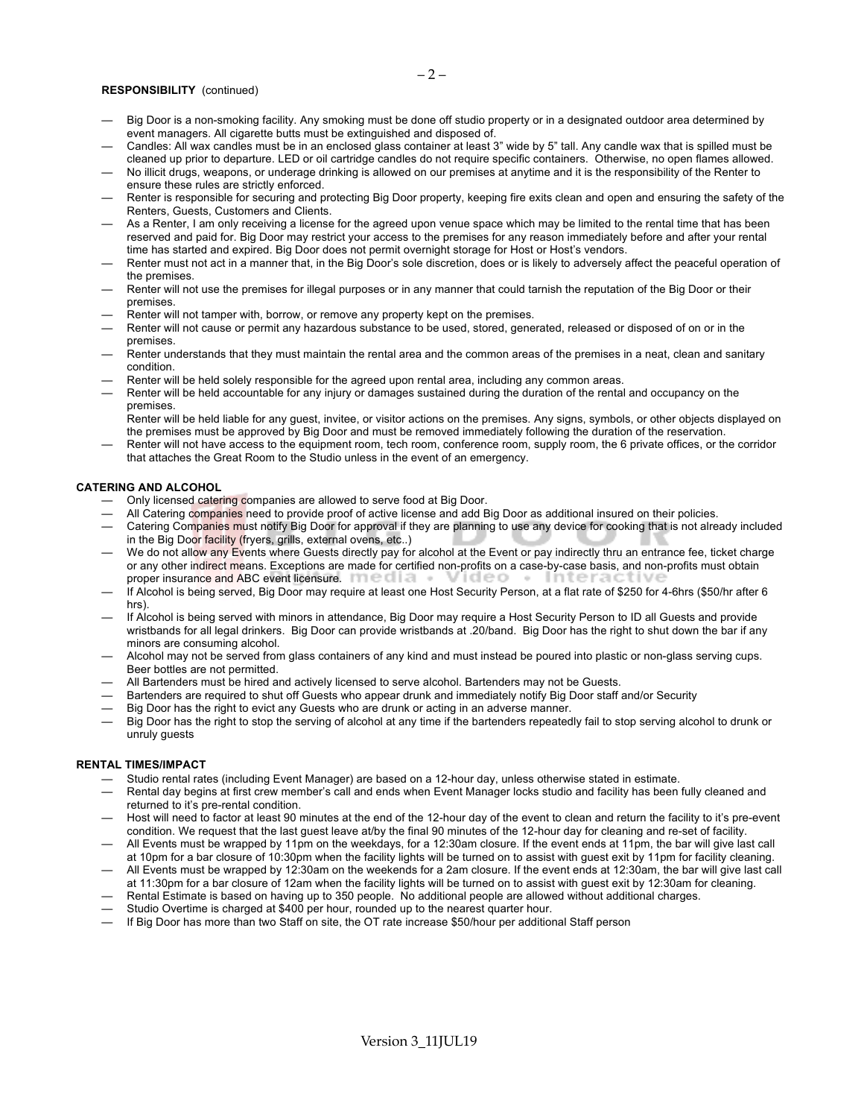#### **RESPONSIBILITY** (continued)

- Big Door is a non-smoking facility. Any smoking must be done off studio property or in a designated outdoor area determined by event managers. All cigarette butts must be extinguished and disposed of.
- Candles: All wax candles must be in an enclosed glass container at least 3" wide by 5" tall. Any candle wax that is spilled must be cleaned up prior to departure. LED or oil cartridge candles do not require specific containers. Otherwise, no open flames allowed.
- No illicit drugs, weapons, or underage drinking is allowed on our premises at anytime and it is the responsibility of the Renter to ensure these rules are strictly enforced.
- Renter is responsible for securing and protecting Big Door property, keeping fire exits clean and open and ensuring the safety of the Renters, Guests, Customers and Clients.
- As a Renter, I am only receiving a license for the agreed upon venue space which may be limited to the rental time that has been reserved and paid for. Big Door may restrict your access to the premises for any reason immediately before and after your rental time has started and expired. Big Door does not permit overnight storage for Host or Host's vendors.
- Renter must not act in a manner that, in the Big Door's sole discretion, does or is likely to adversely affect the peaceful operation of the premises.
- Renter will not use the premises for illegal purposes or in any manner that could tarnish the reputation of the Big Door or their premises.
- Renter will not tamper with, borrow, or remove any property kept on the premises.
- Renter will not cause or permit any hazardous substance to be used, stored, generated, released or disposed of on or in the premises.
- Renter understands that they must maintain the rental area and the common areas of the premises in a neat, clean and sanitary condition.
- Renter will be held solely responsible for the agreed upon rental area, including any common areas.
- Renter will be held accountable for any injury or damages sustained during the duration of the rental and occupancy on the premises.

Renter will be held liable for any guest, invitee, or visitor actions on the premises. Any signs, symbols, or other objects displayed on the premises must be approved by Big Door and must be removed immediately following the duration of the reservation.

— Renter will not have access to the equipment room, tech room, conference room, supply room, the 6 private offices, or the corridor that attaches the Great Room to the Studio unless in the event of an emergency.

#### **CATERING AND ALCOHOL**

- Only licensed catering companies are allowed to serve food at Big Door.
- All Catering companies need to provide proof of active license and add Big Door as additional insured on their policies.
- Catering Companies must notify Big Door for approval if they are planning to use any device for cooking that is not already included in the Big Door facility (fryers, grills, external ovens, etc..)
- We do not allow any Events where Guests directly pay for alcohol at the Event or pay indirectly thru an entrance fee, ticket charge or any other indirect means. Exceptions are made for certified non-profits on a case-by-case basis, and non-profits must obtain proper insurance and ABC event licensure.
- If Alcohol is being served, Big Door may require at least one Host Security Person, at a flat rate of \$250 for 4-6hrs (\$50/hr after 6 hrs).
- If Alcohol is being served with minors in attendance, Big Door may require a Host Security Person to ID all Guests and provide wristbands for all legal drinkers. Big Door can provide wristbands at .20/band. Big Door has the right to shut down the bar if any minors are consuming alcohol.
- Alcohol may not be served from glass containers of any kind and must instead be poured into plastic or non-glass serving cups. Beer bottles are not permitted.
- All Bartenders must be hired and actively licensed to serve alcohol. Bartenders may not be Guests.
- Bartenders are required to shut off Guests who appear drunk and immediately notify Big Door staff and/or Security
- Big Door has the right to evict any Guests who are drunk or acting in an adverse manner.
- Big Door has the right to stop the serving of alcohol at any time if the bartenders repeatedly fail to stop serving alcohol to drunk or unruly guests

#### **RENTAL TIMES/IMPACT**

- Studio rental rates (including Event Manager) are based on a 12-hour day, unless otherwise stated in estimate.
- Rental day begins at first crew member's call and ends when Event Manager locks studio and facility has been fully cleaned and returned to it's pre-rental condition.
- Host will need to factor at least 90 minutes at the end of the 12-hour day of the event to clean and return the facility to it's pre-event condition. We request that the last guest leave at/by the final 90 minutes of the 12-hour day for cleaning and re-set of facility.
- All Events must be wrapped by 11pm on the weekdays, for a 12:30am closure. If the event ends at 11pm, the bar will give last call at 10pm for a bar closure of 10:30pm when the facility lights will be turned on to assist with guest exit by 11pm for facility cleaning.
- All Events must be wrapped by 12:30am on the weekends for a 2am closure. If the event ends at 12:30am, the bar will give last call at 11:30pm for a bar closure of 12am when the facility lights will be turned on to assist with guest exit by 12:30am for cleaning.
- Rental Estimate is based on having up to 350 people. No additional people are allowed without additional charges.
- Studio Overtime is charged at \$400 per hour, rounded up to the nearest quarter hour.
- If Big Door has more than two Staff on site, the OT rate increase \$50/hour per additional Staff person